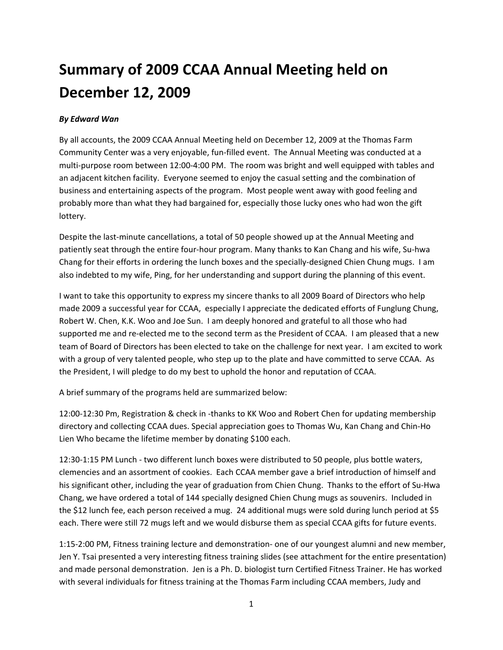## **Summary of 2009 CCAA Annual Meeting held on December 12, 2009**

## *By Edward Wan*

By all accounts, the 2009 CCAA Annual Meeting held on December 12, 2009 at the Thomas Farm Community Center was a very enjoyable, fun‐filled event. The Annual Meeting was conducted at a multi-purpose room between 12:00-4:00 PM. The room was bright and well equipped with tables and an adjacent kitchen facility. Everyone seemed to enjoy the casual setting and the combination of business and entertaining aspects of the program. Most people went away with good feeling and probably more than what they had bargained for, especially those lucky ones who had won the gift lottery.

Despite the last-minute cancellations, a total of 50 people showed up at the Annual Meeting and patiently seat through the entire four‐hour program. Many thanks to Kan Chang and his wife, Su‐hwa Chang for their efforts in ordering the lunch boxes and the specially‐designed Chien Chung mugs. I am also indebted to my wife, Ping, for her understanding and support during the planning of this event.

I want to take this opportunity to express my sincere thanks to all 2009 Board of Directors who help made 2009 a successful year for CCAA, especially I appreciate the dedicated efforts of Funglung Chung, Robert W. Chen, K.K. Woo and Joe Sun. I am deeply honored and grateful to all those who had supported me and re-elected me to the second term as the President of CCAA. I am pleased that a new team of Board of Directors has been elected to take on the challenge for next year. I am excited to work with a group of very talented people, who step up to the plate and have committed to serve CCAA. As the President, I will pledge to do my best to uphold the honor and reputation of CCAA.

A brief summary of the programs held are summarized below:

12:00‐12:30 Pm, Registration & check in ‐thanks to KK Woo and Robert Chen for updating membership directory and collecting CCAA dues. Special appreciation goes to Thomas Wu, Kan Chang and Chin‐Ho Lien Who became the lifetime member by donating \$100 each.

12:30‐1:15 PM Lunch ‐ two different lunch boxes were distributed to 50 people, plus bottle waters, clemencies and an assortment of cookies. Each CCAA member gave a brief introduction of himself and his significant other, including the year of graduation from Chien Chung. Thanks to the effort of Su‐Hwa Chang, we have ordered a total of 144 specially designed Chien Chung mugs as souvenirs. Included in the \$12 lunch fee, each person received a mug. 24 additional mugs were sold during lunch period at \$5 each. There were still 72 mugs left and we would disburse them as special CCAA gifts for future events.

1:15-2:00 PM, Fitness training lecture and demonstration- one of our youngest alumni and new member, Jen Y. Tsai presented a very interesting fitness training slides (see attachment for the entire presentation) and made personal demonstration. Jen is a Ph. D. biologist turn Certified Fitness Trainer. He has worked with several individuals for fitness training at the Thomas Farm including CCAA members, Judy and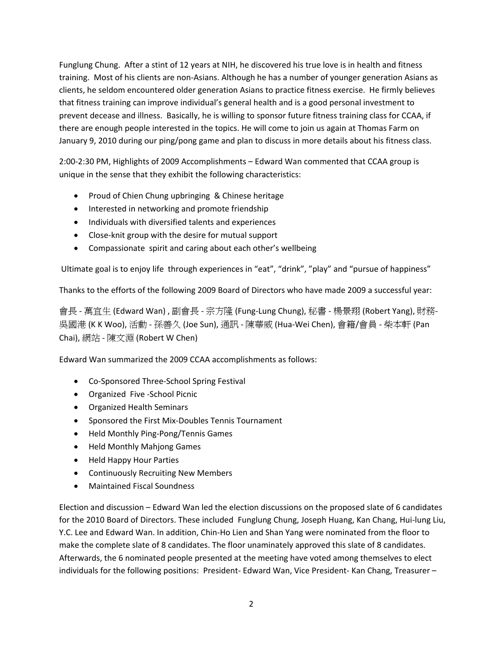Funglung Chung. After a stint of 12 years at NIH, he discovered his true love is in health and fitness training. Most of his clients are non‐Asians. Although he has a number of younger generation Asians as clients, he seldom encountered older generation Asians to practice fitness exercise. He firmly believes that fitness training can improve individual's general health and is a good personal investment to prevent decease and illness. Basically, he is willing to sponsor future fitness training class for CCAA, if there are enough people interested in the topics. He will come to join us again at Thomas Farm on January 9, 2010 during our ping/pong game and plan to discuss in more details about his fitness class.

2:00‐2:30 PM, Highlights of 2009 Accomplishments – Edward Wan commented that CCAA group is unique in the sense that they exhibit the following characteristics:

- Proud of Chien Chung upbringing & Chinese heritage
- Interested in networking and promote friendship
- Individuals with diversified talents and experiences
- Close‐knit group with the desire for mutual support
- Compassionate spirit and caring about each other's wellbeing

Ultimate goal is to enjoy life through experiences in "eat", "drink", "play" and "pursue of happiness"

Thanks to the efforts of the following 2009 Board of Directors who have made 2009 a successful year:

會長 ‐ 萬宜生 (Edward Wan) , 副會長 ‐ 宗方隆 (Fung‐Lung Chung), 秘書 ‐ 楊景翔 (Robert Yang), 財務‐ 吳國港 (K K Woo), 活動 ‐ 孫善久 (Joe Sun), 通訊 ‐ 陳華威 (Hua‐Wei Chen), 會籍/會員 ‐ 柴本軒 (Pan Chai), 網站 ‐ 陳文淵 (Robert W Chen)

Edward Wan summarized the 2009 CCAA accomplishments as follows:

- Co‐Sponsored Three‐School Spring Festival
- Organized Five ‐School Picnic
- Organized Health Seminars
- Sponsored the First Mix‐Doubles Tennis Tournament
- Held Monthly Ping‐Pong/Tennis Games
- Held Monthly Mahjong Games
- Held Happy Hour Parties
- Continuously Recruiting New Members
- Maintained Fiscal Soundness

Election and discussion – Edward Wan led the election discussions on the proposed slate of 6 candidates for the 2010 Board of Directors. These included Funglung Chung, Joseph Huang, Kan Chang, Hui-lung Liu, Y.C. Lee and Edward Wan. In addition, Chin‐Ho Lien and Shan Yang were nominated from the floor to make the complete slate of 8 candidates. The floor unaminately approved this slate of 8 candidates. Afterwards, the 6 nominated people presented at the meeting have voted among themselves to elect individuals for the following positions: President‐ Edward Wan, Vice President‐ Kan Chang, Treasurer –